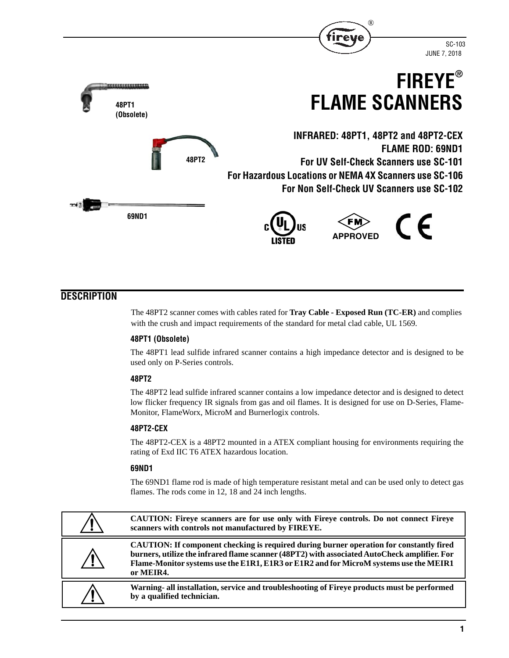

SC-103 JUNE 7, 2018



# **DESCRIPTION**

The 48PT2 scanner comes with cables rated for **Tray Cable - Exposed Run (TC-ER)** and complies with the crush and impact requirements of the standard for metal clad cable, UL 1569.

# **48PT1 (Obsolete)**

The 48PT1 lead sulfide infrared scanner contains a high impedance detector and is designed to be used only on P-Series controls.

# **48PT2**

The 48PT2 lead sulfide infrared scanner contains a low impedance detector and is designed to detect low flicker frequency IR signals from gas and oil flames. It is designed for use on D-Series, Flame-Monitor, FlameWorx, MicroM and Burnerlogix controls.

## **48PT2-CEX**

The 48PT2-CEX is a 48PT2 mounted in a ATEX compliant housing for environments requiring the rating of Exd IIC T6 ATEX hazardous location.

## **69ND1**

The 69ND1 flame rod is made of high temperature resistant metal and can be used only to detect gas flames. The rods come in 12, 18 and 24 inch lengths.

| CAUTION: Fireye scanners are for use only with Fireye controls. Do not connect Fireye<br>scanners with controls not manufactured by FIREYE.                                                                                                                                                   |
|-----------------------------------------------------------------------------------------------------------------------------------------------------------------------------------------------------------------------------------------------------------------------------------------------|
| CAUTION: If component checking is required during burner operation for constantly fired<br>burners, utilize the infrared flame scanner (48PT2) with associated AutoCheck amplifier. For<br>Flame-Monitor systems use the E1R1, E1R3 or E1R2 and for MicroM systems use the MEIR1<br>or MEIR4. |
| Warning- all installation, service and troubleshooting of Fireye products must be performed<br>by a qualified technician.                                                                                                                                                                     |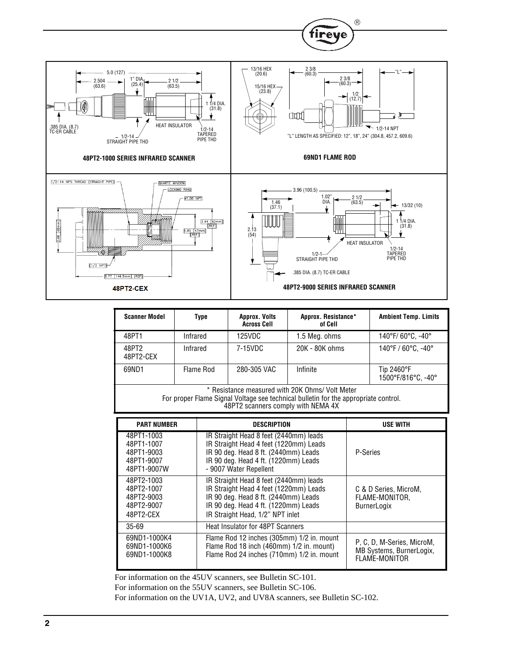

 $^{\circledR}$ 

| <b>Scanner Model</b>                            | Type      | <b>Approx. Volts</b><br><b>Across Cell</b> | Approx. Resistance*<br>of Cell | <b>Ambient Temp. Limits</b>                |
|-------------------------------------------------|-----------|--------------------------------------------|--------------------------------|--------------------------------------------|
| 48PT1                                           | Infrared  | 125VDC                                     | 1.5 Meg. ohms                  | 140°F/60°C, -40°                           |
| 48PT2<br>48PT2-CEX                              | Infrared  | 7-15VDC                                    | 20K - 80K ohms                 | 140°F / 60°C. -40°                         |
| 69ND1                                           | Flame Rod | 280-305 VAC                                | Infinite                       | Tip 2460 $\degree$ F<br>1500°F/816°C, -40° |
| * Resistance measured with 20K Ohms/ Volt Meter |           |                                            |                                |                                            |

For proper Flame Signal Voltage see technical bulletin for the appropriate control.

48PT2 scanners comply with NEMA 4X

| <b>PART NUMBER</b>                                                  | DESCRIPTION                                                                                                                                                                                          | <b>USE WITH</b>                                                                |
|---------------------------------------------------------------------|------------------------------------------------------------------------------------------------------------------------------------------------------------------------------------------------------|--------------------------------------------------------------------------------|
| 48PT1-1003<br>48PT1-1007<br>48PT1-9003<br>48PT1-9007<br>48PT1-9007W | IR Straight Head 8 feet (2440mm) leads<br>IR Straight Head 4 feet (1220mm) Leads<br>IR 90 deg. Head 8 ft. (2440mm) Leads<br>IR 90 deg. Head 4 ft. (1220mm) Leads<br>- 9007 Water Repellent           | P-Series                                                                       |
| 48PT2-1003<br>48PT2-1007<br>48PT2-9003<br>48PT2-9007<br>48PT2-CEX   | IR Straight Head 8 feet (2440mm) leads<br>IR Straight Head 4 feet (1220mm) Leads<br>IR 90 deg. Head 8 ft. (2440mm) Leads<br>IR 90 deg. Head 4 ft. (1220mm) Leads<br>IR Straight Head, 1/2" NPT inlet | C & D Series, MicroM,<br>FLAME-MONITOR.<br><b>BurnerLogix</b>                  |
| $35 - 69$                                                           | <b>Heat Insulator for 48PT Scanners</b>                                                                                                                                                              |                                                                                |
| 69ND1-1000K4<br>69ND1-1000K6<br>69ND1-1000K8                        | Flame Rod 12 inches (305mm) 1/2 in. mount<br>Flame Rod 18 inch (460mm) 1/2 in. mount)<br>Flame Rod 24 inches (710mm) 1/2 in. mount                                                                   | P. C. D. M-Series, MicroM.<br>MB Systems, BurnerLogix,<br><b>FLAME-MONITOR</b> |

For information on the 45UV scanners, see Bulletin SC-101.

For information on the 55UV scanners, see Bulletin SC-106.

For information on the UV1A, UV2, and UV8A scanners, see Bulletin SC-102.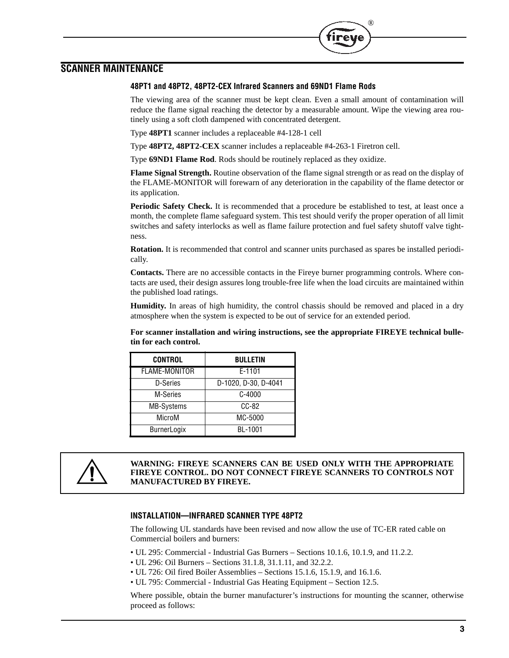

# **SCANNER MAINTENANCE**

## **48PT1 and 48PT2, 48PT2-CEX Infrared Scanners and 69ND1 Flame Rods**

The viewing area of the scanner must be kept clean. Even a small amount of contamination will reduce the flame signal reaching the detector by a measurable amount. Wipe the viewing area routinely using a soft cloth dampened with concentrated detergent.

Type **48PT1** scanner includes a replaceable #4-128-1 cell

Type **48PT2, 48PT2-CEX** scanner includes a replaceable #4-263-1 Firetron cell.

Type **69ND1 Flame Rod**. Rods should be routinely replaced as they oxidize.

**Flame Signal Strength.** Routine observation of the flame signal strength or as read on the display of the FLAME-MONITOR will forewarn of any deterioration in the capability of the flame detector or its application.

**Periodic Safety Check.** It is recommended that a procedure be established to test, at least once a month, the complete flame safeguard system. This test should verify the proper operation of all limit switches and safety interlocks as well as flame failure protection and fuel safety shutoff valve tightness.

**Rotation.** It is recommended that control and scanner units purchased as spares be installed periodically.

**Contacts.** There are no accessible contacts in the Fireye burner programming controls. Where contacts are used, their design assures long trouble-free life when the load circuits are maintained within the published load ratings.

**Humidity.** In areas of high humidity, the control chassis should be removed and placed in a dry atmosphere when the system is expected to be out of service for an extended period.

**For scanner installation and wiring instructions, see the appropriate FIREYE technical bulletin for each control.**

| <b>CONTROL</b>       | <b>BULLETIN</b>      |
|----------------------|----------------------|
| <b>FLAME-MONITOR</b> | E-1101               |
| <b>D-Series</b>      | D-1020, D-30, D-4041 |
| M-Series             | $C-4000$             |
| MB-Systems           | $CC-82$              |
| MicroM               | MC-5000              |
| <b>BurnerLogix</b>   | <b>BL-1001</b>       |



**WARNING: FIREYE SCANNERS CAN BE USED ONLY WITH THE APPROPRIATE FIREYE CONTROL. DO NOT CONNECT FIREYE SCANNERS TO CONTROLS NOT MANUFACTURED BY FIREYE.**

## **INSTALLATION—INFRARED SCANNER TYPE 48PT2**

The following UL standards have been revised and now allow the use of TC-ER rated cable on Commercial boilers and burners:

- UL 295: Commercial Industrial Gas Burners Sections 10.1.6, 10.1.9, and 11.2.2.
- UL 296: Oil Burners Sections 31.1.8, 31.1.11, and 32.2.2.
- UL 726: Oil fired Boiler Assemblies Sections 15.1.6, 15.1.9, and 16.1.6.
- UL 795: Commercial Industrial Gas Heating Equipment Section 12.5.

Where possible, obtain the burner manufacturer's instructions for mounting the scanner, otherwise proceed as follows: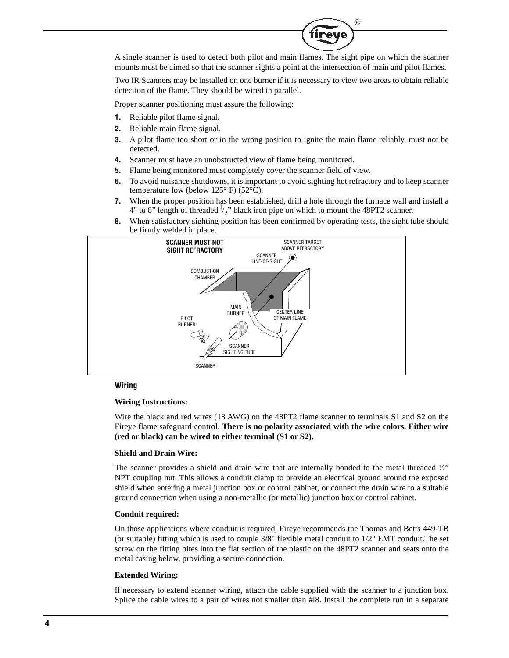

(R)

fireve

Two IR Scanners may be installed on one burner if it is necessary to view two areas to obtain reliable detection of the flame. They should be wired in parallel.

Proper scanner positioning must assure the following:

- **1.** Reliable pilot flame signal.
- **2.** Reliable main flame signal.
- **3.** A pilot flame too short or in the wrong position to ignite the main flame reliably, must not be detected.
- **4.** Scanner must have an unobstructed view of flame being monitored.
- **5.** Flame being monitored must completely cover the scanner field of view.
- **6.** To avoid nuisance shutdowns, it is important to avoid sighting hot refractory and to keep scanner temperature low (below  $125^{\circ}$  F) (52 $^{\circ}$ C).
- **7.** When the proper position has been established, drill a hole through the furnace wall and install a 4" to 8" length of threaded  $\frac{1}{2}$ " black iron pipe on which to mount the 48PT2 scanner.
- **8.** When satisfactory sighting position has been confirmed by operating tests, the sight tube should be firmly welded in place.



# **Wiring**

#### **Wiring Instructions:**

Wire the black and red wires (18 AWG) on the 48PT2 flame scanner to terminals S1 and S2 on the Fireye flame safeguard control. **There is no polarity associated with the wire colors. Either wire (red or black) can be wired to either terminal (S1 or S2).**

#### **Shield and Drain Wire:**

The scanner provides a shield and drain wire that are internally bonded to the metal threaded  $\frac{1}{2}$ " NPT coupling nut. This allows a conduit clamp to provide an electrical ground around the exposed shield when entering a metal junction box or control cabinet, or connect the drain wire to a suitable ground connection when using a non-metallic (or metallic) junction box or control cabinet.

#### **Conduit required:**

On those applications where conduit is required, Fireye recommends the Thomas and Betts 449-TB (or suitable) fitting which is used to couple 3/8" flexible metal conduit to 1/2" EMT conduit.The set screw on the fitting bites into the flat section of the plastic on the 48PT2 scanner and seats onto the metal casing below, providing a secure connection.

#### **Extended Wiring:**

If necessary to extend scanner wiring, attach the cable supplied with the scanner to a junction box. Splice the cable wires to a pair of wires not smaller than #l8. Install the complete run in a separate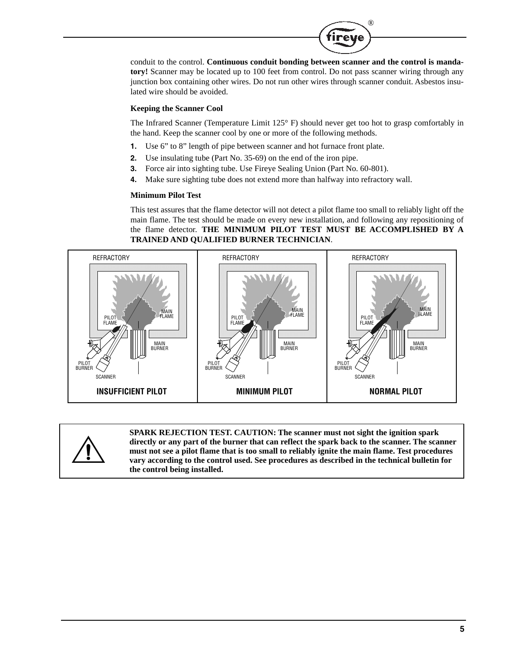conduit to the control. **Continuous conduit bonding between scanner and the control is mandatory!** Scanner may be located up to 100 feet from control. Do not pass scanner wiring through any junction box containing other wires. Do not run other wires through scanner conduit. Asbestos insulated wire should be avoided.

®

fireye

## **Keeping the Scanner Cool**

The Infrared Scanner (Temperature Limit 125° F) should never get too hot to grasp comfortably in the hand. Keep the scanner cool by one or more of the following methods.

- **1.** Use 6" to 8" length of pipe between scanner and hot furnace front plate.
- **2.** Use insulating tube (Part No. 35-69) on the end of the iron pipe.
- **3.** Force air into sighting tube. Use Fireye Sealing Union (Part No. 60-801).
- **4.** Make sure sighting tube does not extend more than halfway into refractory wall.

### **Minimum Pilot Test**

This test assures that the flame detector will not detect a pilot flame too small to reliably light off the main flame. The test should be made on every new installation, and following any repositioning of the flame detector. **THE MINIMUM PILOT TEST MUST BE ACCOMPLISHED BY A TRAINED AND QUALIFIED BURNER TECHNICIAN**.





**SPARK REJECTION TEST. CAUTION: The scanner must not sight the ignition spark directly or any part of the burner that can reflect the spark back to the scanner. The scanner must not see a pilot flame that is too small to reliably ignite the main flame. Test procedures vary according to the control used. See procedures as described in the technical bulletin for the control being installed.**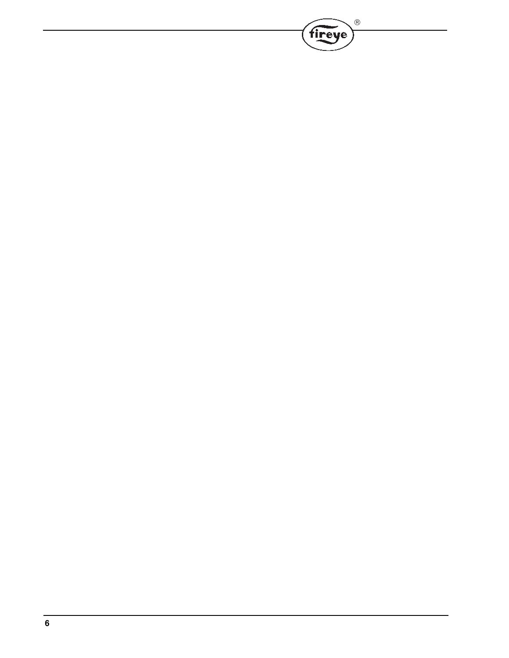| $^{\circledR}$     |
|--------------------|
| <b>Fireye</b><br>. |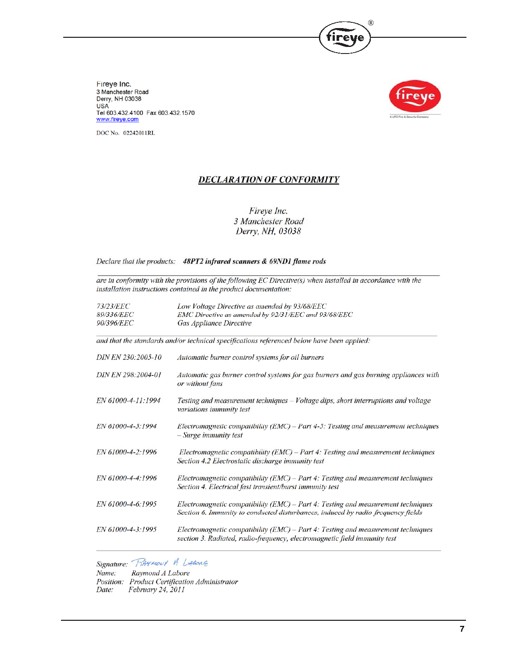

Fireye Inc. 3 Manchester Road Derry, NH 03038 **USA** Tel 603.432.4100 Fax 603.432.1570<br>www.fireye.com

DOC No. 02242011RL

# **DECLARATION OF CONFORMITY**

Fireye Inc. 3 Manchester Road Derry, NH, 03038

Declare that the products: 48PT2 infrared scanners & 69ND1 flame rods

 $\overline{are}$  in conformity with the provisions of the following EC Directive(s) when installed in accordance with the installation instructions contained in the product documentation:

| <i>73/23/EEC</i>   | Low Voltage Directive as amended by 93/68/EEC                                                                                                                        |  |  |
|--------------------|----------------------------------------------------------------------------------------------------------------------------------------------------------------------|--|--|
| <i>89/336/EEC</i>  | EMC Directive as amended by 92/31/EEC and 93/68/EEC                                                                                                                  |  |  |
| <i>90/396/EEC</i>  | Gas Appliance Directive                                                                                                                                              |  |  |
|                    | and that the standards and/or technical specifications referenced below have been applied:                                                                           |  |  |
| DIN EN 230:2005-10 | Automatic burner control systems for oil burners                                                                                                                     |  |  |
| DIN EN 298:2004-01 | Automatic gas burner control systems for gas burners and gas burning appliances with<br>or without fans                                                              |  |  |
| EN 61000-4-11:1994 | Testing and measurement techniques - Voltage dips, short interruptions and voltage<br>variations immunity test                                                       |  |  |
| EN 61000-4-5:1994  | Electromagnetic compatibility $(EMC)$ – Part 4-5: Testing and measurement techniques<br>- Surge immunity test                                                        |  |  |
| EN 61000-4-2:1996  | Electromagnetic compatibility (EMC) – Part 4: Testing and measurement techniques<br>Section 4.2 Electrostatic discharge immunity test                                |  |  |
| EN 61000-4-4:1996  | Electromagnetic compatibility (EMC) - Part 4: Testing and measurement techniques<br>Section 4. Electrical fast transient/burst immunity test                         |  |  |
| EN 61000-4-6:1995  | Electromagnetic compatibility (EMC) – Part 4: Testing and measurement techniques<br>Section 6. Immunity to conducted disturbances, induced by radio-frequency fields |  |  |
| EN 61000-4-3:1995  | Electromagnetic compatibility (EMC) – Part 4: Testing and measurement techniques<br>section 3. Radiated, radio-frequency, electromagnetic field immunity test        |  |  |

Signature: RAYMONY A LABONE Raymond A Labore Name: Position: Product Certification Administrator<br>Date: February 24, 2011